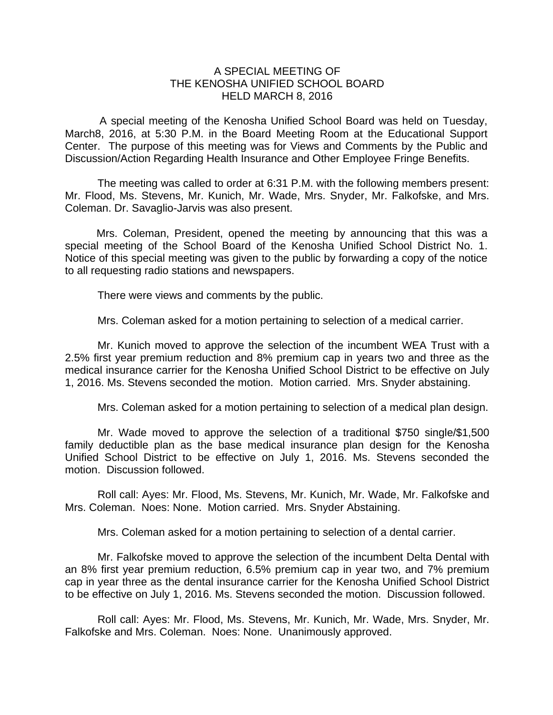## A SPECIAL MEETING OF THE KENOSHA UNIFIED SCHOOL BOARD HELD MARCH 8, 2016

 A special meeting of the Kenosha Unified School Board was held on Tuesday, March8, 2016, at 5:30 P.M. in the Board Meeting Room at the Educational Support Center. The purpose of this meeting was for Views and Comments by the Public and Discussion/Action Regarding Health Insurance and Other Employee Fringe Benefits.

The meeting was called to order at 6:31 P.M. with the following members present: Mr. Flood, Ms. Stevens, Mr. Kunich, Mr. Wade, Mrs. Snyder, Mr. Falkofske, and Mrs. Coleman. Dr. Savaglio-Jarvis was also present.

Mrs. Coleman, President, opened the meeting by announcing that this was a special meeting of the School Board of the Kenosha Unified School District No. 1. Notice of this special meeting was given to the public by forwarding a copy of the notice to all requesting radio stations and newspapers.

There were views and comments by the public.

Mrs. Coleman asked for a motion pertaining to selection of a medical carrier.

 Mr. Kunich moved to approve the selection of the incumbent WEA Trust with a 2.5% first year premium reduction and 8% premium cap in years two and three as the medical insurance carrier for the Kenosha Unified School District to be effective on July 1, 2016. Ms. Stevens seconded the motion. Motion carried. Mrs. Snyder abstaining.

Mrs. Coleman asked for a motion pertaining to selection of a medical plan design.

 Mr. Wade moved to approve the selection of a traditional \$750 single/\$1,500 family deductible plan as the base medical insurance plan design for the Kenosha Unified School District to be effective on July 1, 2016. Ms. Stevens seconded the motion. Discussion followed.

 Roll call: Ayes: Mr. Flood, Ms. Stevens, Mr. Kunich, Mr. Wade, Mr. Falkofske and Mrs. Coleman. Noes: None. Motion carried. Mrs. Snyder Abstaining.

Mrs. Coleman asked for a motion pertaining to selection of a dental carrier.

 Mr. Falkofske moved to approve the selection of the incumbent Delta Dental with an 8% first year premium reduction, 6.5% premium cap in year two, and 7% premium cap in year three as the dental insurance carrier for the Kenosha Unified School District to be effective on July 1, 2016. Ms. Stevens seconded the motion. Discussion followed.

 Roll call: Ayes: Mr. Flood, Ms. Stevens, Mr. Kunich, Mr. Wade, Mrs. Snyder, Mr. Falkofske and Mrs. Coleman. Noes: None. Unanimously approved.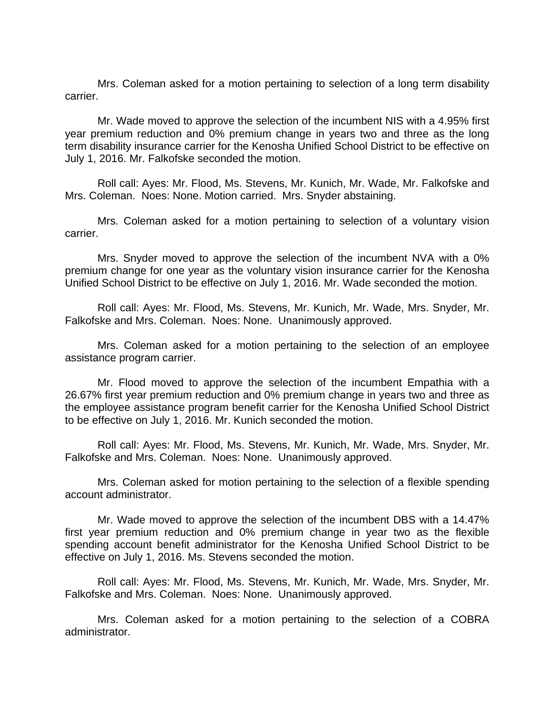Mrs. Coleman asked for a motion pertaining to selection of a long term disability carrier.

 Mr. Wade moved to approve the selection of the incumbent NIS with a 4.95% first year premium reduction and 0% premium change in years two and three as the long term disability insurance carrier for the Kenosha Unified School District to be effective on July 1, 2016. Mr. Falkofske seconded the motion.

 Roll call: Ayes: Mr. Flood, Ms. Stevens, Mr. Kunich, Mr. Wade, Mr. Falkofske and Mrs. Coleman. Noes: None. Motion carried. Mrs. Snyder abstaining.

 Mrs. Coleman asked for a motion pertaining to selection of a voluntary vision carrier.

 Mrs. Snyder moved to approve the selection of the incumbent NVA with a 0% premium change for one year as the voluntary vision insurance carrier for the Kenosha Unified School District to be effective on July 1, 2016. Mr. Wade seconded the motion.

 Roll call: Ayes: Mr. Flood, Ms. Stevens, Mr. Kunich, Mr. Wade, Mrs. Snyder, Mr. Falkofske and Mrs. Coleman. Noes: None. Unanimously approved.

 Mrs. Coleman asked for a motion pertaining to the selection of an employee assistance program carrier.

 Mr. Flood moved to approve the selection of the incumbent Empathia with a 26.67% first year premium reduction and 0% premium change in years two and three as the employee assistance program benefit carrier for the Kenosha Unified School District to be effective on July 1, 2016. Mr. Kunich seconded the motion.

 Roll call: Ayes: Mr. Flood, Ms. Stevens, Mr. Kunich, Mr. Wade, Mrs. Snyder, Mr. Falkofske and Mrs. Coleman. Noes: None. Unanimously approved.

 Mrs. Coleman asked for motion pertaining to the selection of a flexible spending account administrator.

 Mr. Wade moved to approve the selection of the incumbent DBS with a 14.47% first year premium reduction and 0% premium change in year two as the flexible spending account benefit administrator for the Kenosha Unified School District to be effective on July 1, 2016. Ms. Stevens seconded the motion.

 Roll call: Ayes: Mr. Flood, Ms. Stevens, Mr. Kunich, Mr. Wade, Mrs. Snyder, Mr. Falkofske and Mrs. Coleman. Noes: None. Unanimously approved.

 Mrs. Coleman asked for a motion pertaining to the selection of a COBRA administrator.